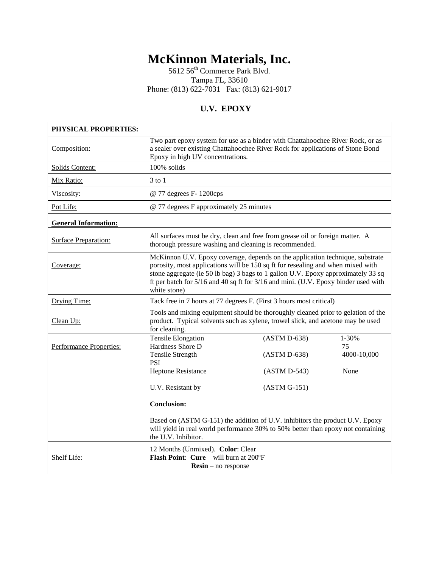# **McKinnon Materials, Inc.**

5612 56<sup>th</sup> Commerce Park Blvd. Tampa FL, 33610 Phone: (813) 622-7031 Fax: (813) 621-9017

# **U.V. EPOXY**

| PHYSICAL PROPERTIES:        |                                                                                                                                                                                                                                                                                                                                                            |                                                                  |                                    |  |
|-----------------------------|------------------------------------------------------------------------------------------------------------------------------------------------------------------------------------------------------------------------------------------------------------------------------------------------------------------------------------------------------------|------------------------------------------------------------------|------------------------------------|--|
| Composition:                | Two part epoxy system for use as a binder with Chattahoochee River Rock, or as<br>a sealer over existing Chattahoochee River Rock for applications of Stone Bond<br>Epoxy in high UV concentrations.                                                                                                                                                       |                                                                  |                                    |  |
| Solids Content:             | 100% solids                                                                                                                                                                                                                                                                                                                                                |                                                                  |                                    |  |
| Mix Ratio:                  | $3$ to $1$                                                                                                                                                                                                                                                                                                                                                 |                                                                  |                                    |  |
| Viscosity:                  | @ 77 degrees F- 1200cps                                                                                                                                                                                                                                                                                                                                    |                                                                  |                                    |  |
| Pot Life:                   | @ 77 degrees F approximately 25 minutes                                                                                                                                                                                                                                                                                                                    |                                                                  |                                    |  |
| <b>General Information:</b> |                                                                                                                                                                                                                                                                                                                                                            |                                                                  |                                    |  |
| <b>Surface Preparation:</b> | All surfaces must be dry, clean and free from grease oil or foreign matter. A<br>thorough pressure washing and cleaning is recommended.                                                                                                                                                                                                                    |                                                                  |                                    |  |
| Coverage:                   | McKinnon U.V. Epoxy coverage, depends on the application technique, substrate<br>porosity, most applications will be 150 sq ft for resealing and when mixed with<br>stone aggregate (ie 50 lb bag) 3 bags to 1 gallon U.V. Epoxy approximately 33 sq<br>ft per batch for 5/16 and 40 sq ft for 3/16 and mini. (U.V. Epoxy binder used with<br>white stone) |                                                                  |                                    |  |
| Drying Time:                | Tack free in 7 hours at 77 degrees F. (First 3 hours most critical)                                                                                                                                                                                                                                                                                        |                                                                  |                                    |  |
| Clean Up:                   | Tools and mixing equipment should be thoroughly cleaned prior to gelation of the<br>product. Typical solvents such as xylene, trowel slick, and acetone may be used<br>for cleaning.                                                                                                                                                                       |                                                                  |                                    |  |
| Performance Properties:     | <b>Tensile Elongation</b><br>Hardness Shore D<br><b>Tensile Strength</b><br><b>PSI</b><br>Heptone Resistance<br>U.V. Resistant by                                                                                                                                                                                                                          | $(ASTM D-638)$<br>(ASTM D-638)<br>(ASTM D-543)<br>$(ASTM G-151)$ | 1-30%<br>75<br>4000-10,000<br>None |  |
|                             | <b>Conclusion:</b><br>Based on (ASTM G-151) the addition of U.V. inhibitors the product U.V. Epoxy<br>will yield in real world performance 30% to 50% better than epoxy not containing<br>the U.V. Inhibitor.                                                                                                                                              |                                                                  |                                    |  |
| Shelf Life:                 | 12 Months (Unmixed). Color: Clear<br>Flash Point: Cure - will burn at 200°F<br>$Resin - no$ response                                                                                                                                                                                                                                                       |                                                                  |                                    |  |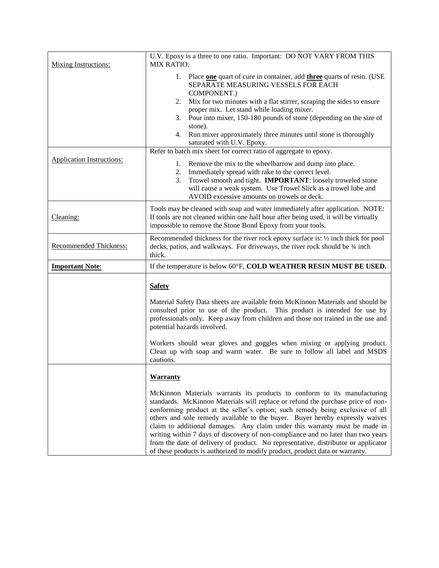| <b>Mixing Instructions:</b>      | U.V. Epoxy is a three to one ratio. Important: DO NOT VARY FROM THIS<br>MIX RATIO.                                                                                                                                                                                                                                                                                                                                                                                                                                                                                                                                                                                   |  |  |  |
|----------------------------------|----------------------------------------------------------------------------------------------------------------------------------------------------------------------------------------------------------------------------------------------------------------------------------------------------------------------------------------------------------------------------------------------------------------------------------------------------------------------------------------------------------------------------------------------------------------------------------------------------------------------------------------------------------------------|--|--|--|
|                                  | 1. Place one quart of cure in container, add three quarts of resin. (USE<br>SEPARATE MEASURING VESSELS FOR EACH<br>COMPONENT.)<br>2. Mix for two minutes with a flat stirrer, scraping the sides to ensure<br>proper mix. Let stand while loading mixer.<br>3. Pour into mixer, 150-180 pounds of stone (depending on the size of<br>stone).<br>Run mixer approximately three minutes until stone is thoroughly<br>4.<br>saturated with U.V. Epoxy.                                                                                                                                                                                                                  |  |  |  |
| <b>Application Instructions:</b> | Refer to batch mix sheet for correct ratio of aggregate to epoxy.<br>1. Remove the mix to the wheelbarrow and dump into place.                                                                                                                                                                                                                                                                                                                                                                                                                                                                                                                                       |  |  |  |
|                                  | 2. Immediately spread with rake to the correct level.<br>Trowel smooth and tight. <b>IMPORTANT</b> : loosely troweled stone<br>3.<br>will cause a weak system. Use Trowel Slick as a trowel lube and<br>AVOID excessive amounts on trowels or deck.                                                                                                                                                                                                                                                                                                                                                                                                                  |  |  |  |
| Cleaning:                        | Tools may be cleaned with soap and water immediately after application. NOTE:<br>If tools are not cleaned within one half hour after being used, it will be virtually<br>impossible to remove the Stone Bond Epoxy from your tools.                                                                                                                                                                                                                                                                                                                                                                                                                                  |  |  |  |
| Recommended Thickness:           | Recommended thickness for the river rock epoxy surface is: $\frac{1}{2}$ inch thick for pool<br>decks, patios, and walkways. For driveways, the river rock should be 34 inch<br>thick.                                                                                                                                                                                                                                                                                                                                                                                                                                                                               |  |  |  |
| <b>Important Note:</b>           | If the temperature is below 60°F, COLD WEATHER RESIN MUST BE USED.                                                                                                                                                                                                                                                                                                                                                                                                                                                                                                                                                                                                   |  |  |  |
|                                  | <b>Safety</b><br>Material Safety Data sheets are available from McKinnon Materials and should be<br>consulted prior to use of the product. This product is intended for use by<br>professionals only. Keep away from children and those not trained in the use and<br>potential hazards involved.<br>Workers should wear gloves and goggles when mixing or applying product.<br>Clean up with soap and warm water. Be sure to follow all label and MSDS<br>cautions.                                                                                                                                                                                                 |  |  |  |
|                                  | <b>Warranty</b>                                                                                                                                                                                                                                                                                                                                                                                                                                                                                                                                                                                                                                                      |  |  |  |
|                                  | McKinnon Materials warrants its products to conform to its manufacturing<br>standards. McKinnon Materials will replace or refund the purchase price of non-<br>conforming product at the seller's option; such remedy being exclusive of all<br>others and sole remedy available to the buyer. Buyer hereby expressly waives<br>claim to additional damages. Any claim under this warranty must be made in<br>writing within 7 days of discovery of non-compliance and no later than two years<br>from the date of delivery of product. No representative, distributor or applicator<br>of these products is authorized to modify product, product data or warranty. |  |  |  |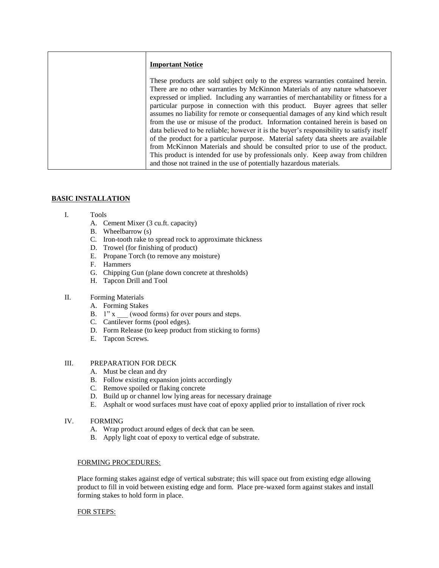| <b>Important Notice</b>                                                                                                                                                                                                                                                                                                                                                                                                                                                                                                                                                                                                                                                                                                                                                                                                                                                                                                                     |
|---------------------------------------------------------------------------------------------------------------------------------------------------------------------------------------------------------------------------------------------------------------------------------------------------------------------------------------------------------------------------------------------------------------------------------------------------------------------------------------------------------------------------------------------------------------------------------------------------------------------------------------------------------------------------------------------------------------------------------------------------------------------------------------------------------------------------------------------------------------------------------------------------------------------------------------------|
| These products are sold subject only to the express warranties contained herein.<br>There are no other warranties by McKinnon Materials of any nature whatsoever<br>expressed or implied. Including any warranties of merchantability or fitness for a<br>particular purpose in connection with this product. Buyer agrees that seller<br>assumes no liability for remote or consequential damages of any kind which result<br>from the use or misuse of the product. Information contained herein is based on<br>data believed to be reliable; however it is the buyer's responsibility to satisfy itself<br>of the product for a particular purpose. Material safety data sheets are available<br>from McKinnon Materials and should be consulted prior to use of the product.<br>This product is intended for use by professionals only. Keep away from children<br>and those not trained in the use of potentially hazardous materials. |

## **BASIC INSTALLATION**

- I. Tools
	- A. Cement Mixer (3 cu.ft. capacity)
	- B. Wheelbarrow (s)
	- C. Iron-tooth rake to spread rock to approximate thickness
	- D. Trowel (for finishing of product)
	- E. Propane Torch (to remove any moisture)
	- F. Hammers
	- G. Chipping Gun (plane down concrete at thresholds)
	- H. Tapcon Drill and Tool

# II. Forming Materials

- A. Forming Stakes
- B.  $1" x$  (wood forms) for over pours and steps.
- C. Cantilever forms (pool edges).
- D. Form Release (to keep product from sticking to forms)
- E. Tapcon Screws.

### III. PREPARATION FOR DECK

- A. Must be clean and dry
- B. Follow existing expansion joints accordingly
- C. Remove spoiled or flaking concrete
- D. Build up or channel low lying areas for necessary drainage
- E. Asphalt or wood surfaces must have coat of epoxy applied prior to installation of river rock

#### IV. FORMING

- A. Wrap product around edges of deck that can be seen.
- B. Apply light coat of epoxy to vertical edge of substrate.

#### FORMING PROCEDURES:

Place forming stakes against edge of vertical substrate; this will space out from existing edge allowing product to fill in void between existing edge and form. Place pre-waxed form against stakes and install forming stakes to hold form in place.

#### FOR STEPS: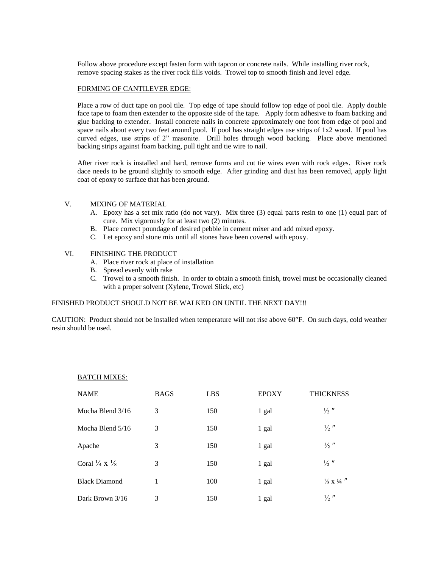Follow above procedure except fasten form with tapcon or concrete nails. While installing river rock, remove spacing stakes as the river rock fills voids. Trowel top to smooth finish and level edge.

#### FORMING OF CANTILEVER EDGE:

Place a row of duct tape on pool tile. Top edge of tape should follow top edge of pool tile. Apply double face tape to foam then extender to the opposite side of the tape. Apply form adhesive to foam backing and glue backing to extender. Install concrete nails in concrete approximately one foot from edge of pool and space nails about every two feet around pool. If pool has straight edges use strips of 1x2 wood. If pool has curved edges, use strips of 2" masonite. Drill holes through wood backing. Place above mentioned backing strips against foam backing, pull tight and tie wire to nail.

After river rock is installed and hard, remove forms and cut tie wires even with rock edges. River rock dace needs to be ground slightly to smooth edge. After grinding and dust has been removed, apply light coat of epoxy to surface that has been ground.

#### V. MIXING OF MATERIAL

- A. Epoxy has a set mix ratio (do not vary). Mix three (3) equal parts resin to one (1) equal part of cure. Mix vigorously for at least two (2) minutes.
- B. Place correct poundage of desired pebble in cement mixer and add mixed epoxy.
- C. Let epoxy and stone mix until all stones have been covered with epoxy.

#### VI. FINISHING THE PRODUCT

- A. Place river rock at place of installation
- B. Spread evenly with rake
- C. Trowel to a smooth finish. In order to obtain a smooth finish, trowel must be occasionally cleaned with a proper solvent (Xylene, Trowel Slick, etc)

#### FINISHED PRODUCT SHOULD NOT BE WALKED ON UNTIL THE NEXT DAY!!!

CAUTION: Product should not be installed when temperature will not rise above 60°F. On such days, cold weather resin should be used.

| <b>NAME</b>                         | <b>BAGS</b> | <b>LBS</b> | <b>EPOXY</b> | <b>THICKNESS</b>                |
|-------------------------------------|-------------|------------|--------------|---------------------------------|
|                                     |             |            |              |                                 |
| Mocha Blend 3/16                    | 3           | 150        | 1 gal        | $\frac{1}{2}$ "                 |
| Mocha Blend 5/16                    | 3           | 150        | 1 gal        | $\frac{1}{2}$ "                 |
| Apache                              | 3           | 150        | 1 gal        | $\frac{1}{2}$ "                 |
| Coral $\frac{1}{4}$ X $\frac{1}{8}$ | 3           | 150        | 1 gal        | $\frac{1}{2}$ "                 |
| <b>Black Diamond</b>                | 1           | 100        | 1 gal        | $\frac{1}{8}$ x $\frac{1}{4}$ " |
| Dark Brown 3/16                     | 3           | 150        | 1 gal        | $\frac{1}{2}$ "                 |

#### BATCH MIXES: